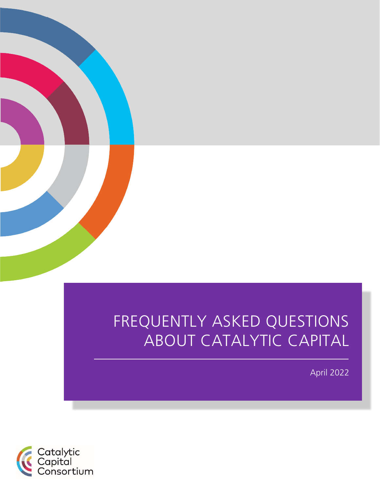

# FREQUENTLY ASKED QUESTIONS ABOUT CATALYTIC CAPITAL

April 2022

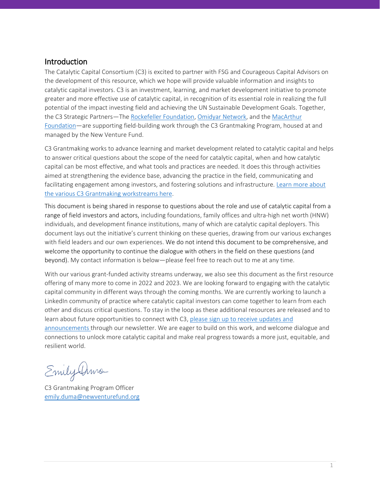#### Introduction

The Catalytic Capital Consortium (C3) is excited to partner with FSG and Courageous Capital Advisors on the development of this resource, which we hope will provide valuable information and insights to catalytic capital investors. C3 is an investment, learning, and market development initiative to promote greater and more effective use of catalytic capital, in recognition of its essential role in realizing the full potential of the impact investing field and achieving the UN Sustainable Development Goals. Together, the C3 Strategic Partners—The [Rockefeller Foundation,](https://www.rockefellerfoundation.org/) [Omidyar Network,](https://omidyar.com/) and th[e MacArthur](https://www.macfound.org/)  [Foundation—](https://www.macfound.org/)are supporting field-building work through the C3 Grantmaking Program, housed at and managed by the New Venture Fund.

C3 Grantmaking works to advance learning and market development related to catalytic capital and helps to answer critical questions about the scope of the need for catalytic capital, when and how catalytic capital can be most effective, and what tools and practices are needed. It does this through activities aimed at strengthening the evidence base, advancing the practice in the field, communicating and facilitating engagement among investors, and fostering solutions and infrastructure. Learn more about [the various C3 Grantmaking workstreams here.](https://newventurefund.org/for-grant-seekers/c3grantmaking/) 

This document is being shared in response to questions about the role and use of catalytic capital from a range of field investors and actors, including foundations, family offices and ultra-high net worth (HNW) individuals, and development finance institutions, many of which are catalytic capital deployers. This document lays out the initiative's current thinking on these queries, drawing from our various exchanges with field leaders and our own experiences. We do not intend this document to be comprehensive, and welcome the opportunity to continue the dialogue with others in the field on these questions (and beyond). My contact information is below—please feel free to reach out to me at any time.

With our various grant-funded activity streams underway, we also see this document as the first resource offering of many more to come in 2022 and 2023. We are looking forward to engaging with the catalytic capital community in different ways through the coming months. We are currently working to launch a LinkedIn community of practice where catalytic capital investors can come together to learn from each other and discuss critical questions. To stay in the loop as these additional resources are released and to learn about future opportunities to connect with C3, [please sign up to receive updates and](https://newventurefund.us2.list-manage.com/subscribe?u=93870570ff160d68e33c81967&id=1f1d2d1e68)  [announcements](https://newventurefund.us2.list-manage.com/subscribe?u=93870570ff160d68e33c81967&id=1f1d2d1e68) through our newsletter. We are eager to build on this work, and welcome dialogue and connections to unlock more catalytic capital and make real progress towards a more just, equitable, and resilient world.

Emily Dima

C3 Grantmaking Program Officer [emily.duma@newventurefund.org](mailto:emily.duma@newventurefund.org)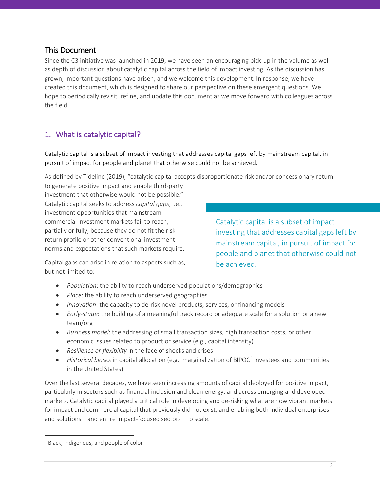#### This Document

Since the C3 initiative was launched in 2019, we have seen an encouraging pick-up in the volume as well as depth of discussion about catalytic capital across the field of impact investing. As the discussion has grown, important questions have arisen, and we welcome this development. In response, we have created this document, which is designed to share our perspective on these emergent questions. We hope to periodically revisit, refine, and update this document as we move forward with colleagues across the field.

# 1. What is catalytic capital?

Catalytic capital is a subset of impact investing that addresses capital gaps left by mainstream capital, in pursuit of impact for people and planet that otherwise could not be achieved.

As defined by Tideline (2019), "catalytic capital accepts disproportionate risk and/or concessionary return

to generate positive impact and enable third-party investment that otherwise would not be possible." Catalytic capital seeks to address *capital gaps*, i.e., investment opportunities that mainstream commercial investment markets fail to reach, partially or fully, because they do not fit the riskreturn profile or other conventional investment norms and expectations that such markets require.

Catalytic capital is a subset of impact investing that addresses capital gaps left by mainstream capital, in pursuit of impact for people and planet that otherwise could not be achieved.

Capital gaps can arise in relation to aspects such as, but not limited to:

- *Population*: the ability to reach underserved populations/demographics
- *Place*: the ability to reach underserved geographies
- *Innovation*: the capacity to de-risk novel products, services, or financing models
- *Early-stage*: the building of a meaningful track record or adequate scale for a solution or a new team/org
- *Business model*: the addressing of small transaction sizes, high transaction costs, or other economic issues related to product or service (e.g., capital intensity)
- *Resilience or flexibility* in the face of shocks and crises
- *Historical biases* in capital allocation (e.g., marginalization of BIPOC<sup>[1](#page-2-0)</sup> investees and communities in the United States)

Over the last several decades, we have seen increasing amounts of capital deployed for positive impact, particularly in sectors such as financial inclusion and clean energy, and across emerging and developed markets. Catalytic capital played a critical role in developing and de-risking what are now vibrant markets for impact and commercial capital that previously did not exist, and enabling both individual enterprises and solutions—and entire impact-focused sectors—to scale.

 $\overline{a}$ 

<span id="page-2-0"></span> $1$  Black, Indigenous, and people of color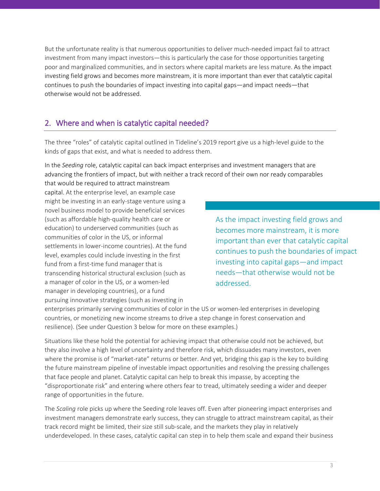But the unfortunate reality is that numerous opportunities to deliver much-needed impact fail to attract investment from many impact investors—this is particularly the case for those opportunities targeting poor and marginalized communities, and in sectors where capital markets are less mature. As the impact investing field grows and becomes more mainstream, it is more important than ever that catalytic capital continues to push the boundaries of impact investing into capital gaps—and impact needs—that otherwise would not be addressed.

# 2. Where and when is catalytic capital needed?

The three "roles" of catalytic capital outlined in Tideline's 2019 report give us a high-level guide to the kinds of gaps that exist, and what is needed to address them.

In the *Seeding* role, catalytic capital can back impact enterprises and investment managers that are advancing the frontiers of impact, but with neither a track record of their own nor ready comparables that would be required to attract mainstream

capital. At the enterprise level, an example case might be investing in an early-stage venture using a novel business model to provide beneficial services (such as affordable high-quality health care or education) to underserved communities (such as communities of color in the US, or informal settlements in lower-income countries). At the fund level, examples could include investing in the first fund from a first-time fund manager that is transcending historical structural exclusion (such as a manager of color in the US, or a women-led manager in developing countries), or a fund pursuing innovative strategies (such as investing in

As the impact investing field grows and becomes more mainstream, it is more important than ever that catalytic capital continues to push the boundaries of impact investing into capital gaps—and impact needs—that otherwise would not be addressed.

enterprises primarily serving communities of color in the US or women-led enterprises in developing countries, or monetizing new income streams to drive a step change in forest conservation and resilience). (See under Question 3 below for more on these examples.)

Situations like these hold the potential for achieving impact that otherwise could not be achieved, but they also involve a high level of uncertainty and therefore risk, which dissuades many investors, even where the promise is of "market-rate" returns or better. And yet, bridging this gap is the key to building the future mainstream pipeline of investable impact opportunities and resolving the pressing challenges that face people and planet. Catalytic capital can help to break this impasse, by accepting the "disproportionate risk" and entering where others fear to tread, ultimately seeding a wider and deeper range of opportunities in the future.

The *Scaling* role picks up where the Seeding role leaves off. Even after pioneering impact enterprises and investment managers demonstrate early success, they can struggle to attract mainstream capital, as their track record might be limited, their size still sub-scale, and the markets they play in relatively underdeveloped. In these cases, catalytic capital can step in to help them scale and expand their business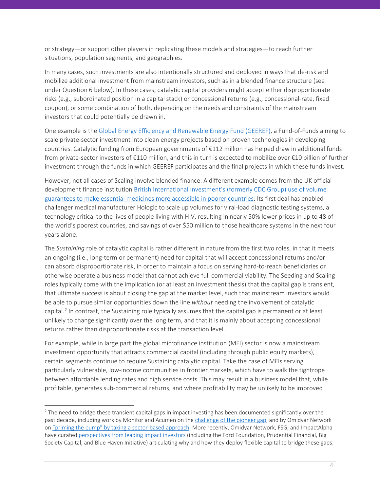or strategy—or support other players in replicating these models and strategies—to reach further situations, population segments, and geographies.

In many cases, such investments are also intentionally structured and deployed in ways that de-risk and mobilize additional investment from mainstream investors, such as in a blended finance structure (see under Question 6 below). In these cases, catalytic capital providers might accept either disproportionate risks (e.g., subordinated position in a capital stack) or concessional returns (e.g., concessional-rate, fixed coupon), or some combination of both, depending on the needs and constraints of the mainstream investors that could potentially be drawn in.

One example is the [Global Energy Efficiency and Renewable Energy Fund \(GEEREF\),](https://geeref.com/) a Fund-of-Funds aiming to scale private-sector investment into clean energy projects based on proven technologies in developing countries. Catalytic funding from European governments of €112 million has helped draw in additional funds from private-sector investors of €110 million, and this in turn is expected to mobilize over €10 billion of further investment through the funds in which GEEREF participates and the final projects in which these funds invest.

However, not all cases of Scaling involve blended finance. A different example comes from the UK official development finance institution [British International Investment's \(formerly CDC Group\) use of volume](https://medaccess.org/guarantee-portfolio/hologic-viral-load-testing/)  [guarantees to make essential medicines more accessible in poorer countries:](https://medaccess.org/guarantee-portfolio/hologic-viral-load-testing/) Its first deal has enabled challenger medical manufacturer Hologic to scale up volumes for viral-load diagnostic testing systems, a technology critical to the lives of people living with HIV, resulting in nearly 50% lower prices in up to 48 of the world's poorest countries, and savings of over \$50 million to those healthcare systems in the next four years alone.

The *Sustaining* role of catalytic capital is rather different in nature from the first two roles, in that it meets an ongoing (i.e., long-term or permanent) need for capital that will accept concessional returns and/or can absorb disproportionate risk, in order to maintain a focus on serving hard-to-reach beneficiaries or otherwise operate a business model that cannot achieve full commercial viability. The Seeding and Scaling roles typically come with the implication (or at least an investment thesis) that the capital gap is transient, that ultimate success is about closing the gap at the market level, such that mainstream investors would be able to pursue similar opportunities down the line *without* needing the involvement of catalytic capital.<sup>[2](#page-4-0)</sup> In contrast, the Sustaining role typically assumes that the capital gap is permanent or at least unlikely to change significantly over the long term, and that it is mainly about accepting concessional returns rather than disproportionate risks at the transaction level.

For example, while in large part the global microfinance institution (MFI) sector is now a mainstream investment opportunity that attracts commercial capital (including through public equity markets), certain segments continue to require Sustaining catalytic capital. Take the case of MFIs serving particularly vulnerable, low-income communities in frontier markets, which have to walk the tightrope between affordable lending rates and high service costs. This may result in a business model that, while profitable, generates sub-commercial returns, and where profitability may be unlikely to be improved

 $\overline{a}$ 

<span id="page-4-0"></span><sup>&</sup>lt;sup>2</sup> The need to bridge these transient capital gaps in impact investing has been documented significantly over the past decade, including work by Monitor and Acumen on th[e challenge of the pioneer gap,](https://thegiin.org/research/publication/from-blueprint-to-scale-the-case-for-philanthropy-in-impact-investing) and by Omidyar Network on "priming the pump" [by taking a sector-based approach.](https://omidyar.com/priming-the-pump-the-case-for-a-sector-based-approach-to-impact-investing/) More recently, Omidyar Network, FSG, and ImpactAlpha have curated [perspectives from leading impact investors](https://beyondtradeoffs.economist.com/#:%7E:text=Beyond%20Trade%2Doffs%20features%20leading,the%20polarized%20trade%2Doff%20debate.&text=This%20collection%20explores%20how%20institutional,the%20impact%20investing%20returns%20continuum.) (including the Ford Foundation, Prudential Financial, Big Society Capital, and Blue Haven Initiative) articulating why and how they deploy flexible capital to bridge these gaps.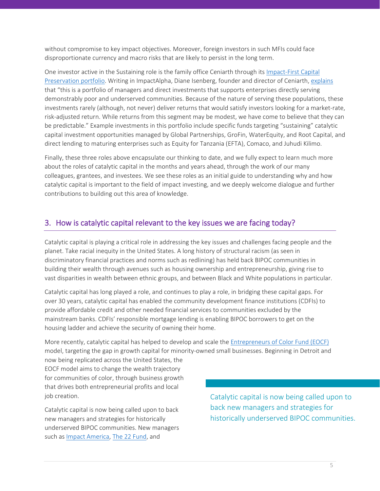without compromise to key impact objectives. Moreover, foreign investors in such MFIs could face disproportionate currency and macro risks that are likely to persist in the long term.

One investor active in the Sustaining role is the family office Ceniarth through its [Impact-First Capital](https://ceniarthllc.com/strategies/impact-first-capital-preservation/)  [Preservation portfolio.](https://ceniarthllc.com/strategies/impact-first-capital-preservation/) Writing in ImpactAlpha, Diane Isenberg, founder and director of Ceniarth, [explains](https://impactalpha.com/fighting-poverty-and-remaining-rich-ceniarth-shifts-portfolio-to-impact-first-capital-preservation/)  that "this is a portfolio of managers and direct investments that supports enterprises directly serving demonstrably poor and underserved communities. Because of the nature of serving these populations, these investments rarely (although, not never) deliver returns that would satisfy investors looking for a market-rate, risk-adjusted return. While returns from this segment may be modest, we have come to believe that they can be predictable." Example investments in this portfolio include specific funds targeting "sustaining" catalytic capital investment opportunities managed by Global Partnerships, GroFin, WaterEquity, and Root Capital, and direct lending to maturing enterprises such as Equity for Tanzania (EFTA), Comaco, and Juhudi Kilimo.

Finally, these three roles above encapsulate our thinking to date, and we fully expect to learn much more about the roles of catalytic capital in the months and years ahead, through the work of our many colleagues, grantees, and investees. We see these roles as an initial guide to understanding why and how catalytic capital is important to the field of impact investing, and we deeply welcome dialogue and further contributions to building out this area of knowledge.

#### 3. How is catalytic capital relevant to the key issues we are facing today?

Catalytic capital is playing a critical role in addressing the key issues and challenges facing people and the planet. Take racial inequity in the United States. A long history of structural racism (as seen in discriminatory financial practices and norms such as redlining) has held back BIPOC communities in building their wealth through avenues such as housing ownership and entrepreneurship, giving rise to vast disparities in wealth between ethnic groups, and between Black and White populations in particular.

Catalytic capital has long played a role, and continues to play a role, in bridging these capital gaps. For over 30 years, catalytic capital has enabled the community development finance institutions (CDFIs) to provide affordable credit and other needed financial services to communities excluded by the mainstream banks. CDFIs' responsible mortgage lending is enabling BIPOC borrowers to get on the housing ladder and achieve the security of owning their home.

More recently, catalytic capital has helped to develop and scale th[e Entrepreneurs of Color Fund \(EOCF\)](https://www.lisc.org/eocf/) model, targeting the gap in growth capital for minority-owned small businesses. Beginning in Detroit and

now being replicated across the United States, the EOCF model aims to change the wealth trajectory for communities of color, through business growth that drives both entrepreneurial profits and local job creation.

Catalytic capital is now being called upon to back new managers and strategies for historically underserved BIPOC communities. New managers such as [Impact America,](https://impactamericafund.com/) [The 22 Fund,](https://the22fund.com/) and

Catalytic capital is now being called upon to back new managers and strategies for historically underserved BIPOC communities.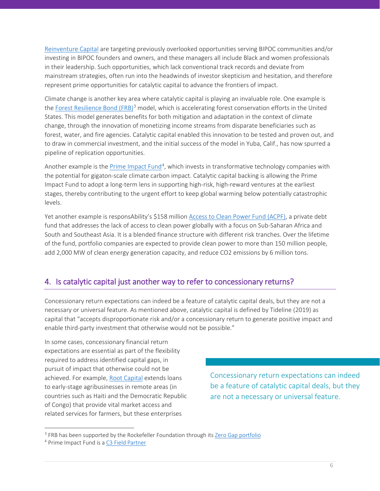[Reinventure Capital](https://reinventurecapital.com/) are targeting previously overlooked opportunities serving BIPOC communities and/or investing in BIPOC founders and owners, and these managers all include Black and women professionals in their leadership. Such opportunities, which lack conventional track records and deviate from mainstream strategies, often run into the headwinds of investor skepticism and hesitation, and therefore represent prime opportunities for catalytic capital to advance the frontiers of impact.

Climate change is another key area where catalytic capital is playing an invaluable role. One example is the [Forest Resilience Bond \(FRB\)](https://www.blueforest.org/forest-resilience-bond)<sup>[3](#page-6-0)</sup> model, which is accelerating forest conservation efforts in the United States. This model generates benefits for both mitigation and adaptation in the context of climate change, through the innovation of monetizing income streams from disparate beneficiaries such as forest, water, and fire agencies. Catalytic capital enabled this innovation to be tested and proven out, and to draw in commercial investment, and the initial success of the model in Yuba, Calif., has now spurred a pipeline of replication opportunities.

Another example is the [Prime Impact Fund](https://www.primeimpactfund.com/)<sup>[4](#page-6-1)</sup>, which invests in transformative technology companies with the potential for gigaton-scale climate carbon impact. Catalytic capital backing is allowing the Prime Impact Fund to adopt a long-term lens in supporting high-risk, high-reward ventures at the earliest stages, thereby contributing to the urgent effort to keep global warming below potentially catastrophic levels.

Yet another example is responsAbility's \$158 millio[n Access to Clean Power Fund \(ACPF\),](https://www.responsability.com/en/press-releases/responsability-launches-usd-200-m-climate-fund) a private debt fund that addresses the lack of access to clean power globally with a focus on Sub-Saharan Africa and South and Southeast Asia. It is a blended finance structure with different risk tranches. Over the lifetime of the fund, portfolio companies are expected to provide clean power to more than 150 million people, add 2,000 MW of clean energy generation capacity, and reduce CO2 emissions by 6 million tons.

# 4. Is catalytic capital just another way to refer to concessionary returns?

Concessionary return expectations can indeed be a feature of catalytic capital deals, but they are not a necessary or universal feature. As mentioned above, catalytic capital is defined by Tideline (2019) as capital that "accepts disproportionate risk and/or a concessionary return to generate positive impact and enable third-party investment that otherwise would not be possible."

In some cases, concessionary financial return expectations are essential as part of the flexibility required to address identified capital gaps, in pursuit of impact that otherwise could not be achieved. For example, [Root Capital](https://rootcapital.org/) extends loans to early-stage agribusinesses in remote areas (in countries such as Haiti and the Democratic Republic of Congo) that provide vital market access and related services for farmers, but these enterprises

Concessionary return expectations can indeed be a feature of catalytic capital deals, but they are not a necessary or universal feature.

 $\overline{a}$ 

<span id="page-6-0"></span><sup>&</sup>lt;sup>3</sup> FRB has been supported by the Rockefeller Foundation through it[s Zero Gap portfolio](https://www.rockefellerfoundation.org/initiative/zero-gap-fund/)

<span id="page-6-1"></span><sup>4</sup> Prime Impact Fund is a [C3 Field Partner](https://www.macfound.org/programs/catalytic-capital-consortium/)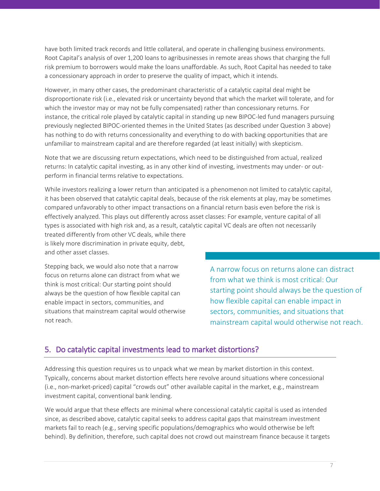have both limited track records and little collateral, and operate in challenging business environments. Root Capital's analysis of over 1,200 loans to agribusinesses in remote areas shows that charging the full risk premium to borrowers would make the loans unaffordable. As such, Root Capital has needed to take a concessionary approach in order to preserve the quality of impact, which it intends.

However, in many other cases, the predominant characteristic of a catalytic capital deal might be disproportionate risk (i.e., elevated risk or uncertainty beyond that which the market will tolerate, and for which the investor may or may not be fully compensated) rather than concessionary returns. For instance, the critical role played by catalytic capital in standing up new BIPOC-led fund managers pursuing previously neglected BIPOC-oriented themes in the United States (as described under Question 3 above) has nothing to do with returns concessionality and everything to do with backing opportunities that are unfamiliar to mainstream capital and are therefore regarded (at least initially) with skepticism.

Note that we are discussing return expectations, which need to be distinguished from actual, realized returns: In catalytic capital investing, as in any other kind of investing, investments may under- or outperform in financial terms relative to expectations.

While investors realizing a lower return than anticipated is a phenomenon not limited to catalytic capital, it has been observed that catalytic capital deals, because of the risk elements at play, may be sometimes compared unfavorably to other impact transactions on a financial return basis even before the risk is effectively analyzed. This plays out differently across asset classes: For example, venture capital of all types is associated with high risk and, as a result, catalytic capital VC deals are often not necessarily

treated differently from other VC deals, while there is likely more discrimination in private equity, debt, and other asset classes.

Stepping back, we would also note that a narrow focus on returns alone can distract from what we think is most critical: Our starting point should always be the question of how flexible capital can enable impact in sectors, communities, and situations that mainstream capital would otherwise not reach.

A narrow focus on returns alone can distract from what we think is most critical: Our starting point should always be the question of how flexible capital can enable impact in sectors, communities, and situations that mainstream capital would otherwise not reach.

#### 5. Do catalytic capital investments lead to market distortions?

Addressing this question requires us to unpack what we mean by market distortion in this context. Typically, concerns about market distortion effects here revolve around situations where concessional (i.e., non-market-priced) capital "crowds out" other available capital in the market, e.g., mainstream investment capital, conventional bank lending.

We would argue that these effects are minimal where concessional catalytic capital is used as intended since, as described above, catalytic capital seeks to address capital gaps that mainstream investment markets fail to reach (e.g., serving specific populations/demographics who would otherwise be left behind). By definition, therefore, such capital does not crowd out mainstream finance because it targets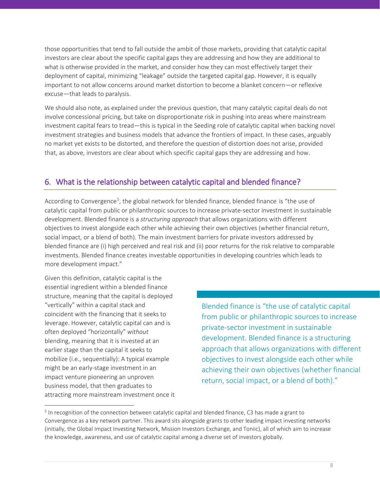those opportunities that tend to fall outside the ambit of those markets, providing that catalytic capital investors are clear about the specific capital gaps they are addressing and how they are additional to what is otherwise provided in the market, and consider how they can most effectively target their deployment of capital, minimizing "leakage" outside the targeted capital gap. However, it is equally important to not allow concerns around market distortion to become a blanket concern—or reflexive excuse—that leads to paralysis.

We should also note, as explained under the previous question, that many catalytic capital deals do not involve concessional pricing, but take on disproportionate risk in pushing into areas where mainstream investment capital fears to tread—this is typical in the Seeding role of catalytic capital when backing novel investment strategies and business models that advance the frontiers of impact. In these cases, arguably no market yet exists to be distorted, and therefore the question of distortion does not arise, provided that, as above, investors are clear about which specific capital gaps they are addressing and how.

# 6. What is the relationship between catalytic capital and blended finance?

According to Convergence<sup>[5](#page-8-0)</sup>, the global network for blended finance, blended finance is "the use of catalytic capital from public or philanthropic sources to increase private-sector investment in sustainable development. Blended finance is a *structuring approach* that allows organizations with different objectives to invest alongside each other while achieving their own objectives (whether financial return, social impact, or a blend of both). The main investment barriers for private investors addressed by blended finance are (i) high perceived and real risk and (ii) poor returns for the risk relative to comparable investments. Blended finance creates investable opportunities in developing countries which leads to more development impact."

Given this definition, catalytic capital is the essential ingredient within a blended finance structure, meaning that the capital is deployed "vertically" within a capital stack and coincident with the financing that it seeks to leverage. However, catalytic capital can and is often deployed "horizontally" *without* blending, meaning that it is invested at an earlier stage than the capital it seeks to mobilize (i.e., sequentially): A typical example might be an early-stage investment in an impact venture pioneering an unproven business model, that then graduates to attracting more mainstream investment once it

 $\overline{a}$ 

Blended finance is "the use of catalytic capital from public or philanthropic sources to increase private-sector investment in sustainable development. Blended finance is a structuring approach that allows organizations with different objectives to invest alongside each other while achieving their own objectives (whether financial return, social impact, or a blend of both)."

<span id="page-8-0"></span> $<sup>5</sup>$  In recognition of the connection between catalytic capital and blended finance, C3 has made a grant to</sup> Convergence as a key network partner. This award sits alongside grants to other leading impact investing networks (initially, the Global Impact Investing Network, Mission Investors Exchange, and Toniic), all of which aim to increase the knowledge, awareness, and use of catalytic capital among a diverse set of investors globally.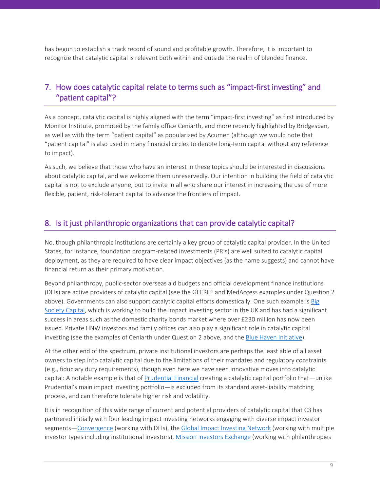has begun to establish a track record of sound and profitable growth. Therefore, it is important to recognize that catalytic capital is relevant both within and outside the realm of blended finance.

# 7. How does catalytic capital relate to terms such as "impact-first investing" and "patient capital"?

As a concept, catalytic capital is highly aligned with the term "impact-first investing" as first introduced by Monitor Institute, promoted by the family office Ceniarth, and more recently highlighted by Bridgespan, as well as with the term "patient capital" as popularized by Acumen (although we would note that "patient capital" is also used in many financial circles to denote long-term capital without any reference to impact).

As such, we believe that those who have an interest in these topics should be interested in discussions about catalytic capital, and we welcome them unreservedly. Our intention in building the field of catalytic capital is not to exclude anyone, but to invite in all who share our interest in increasing the use of more flexible, patient, risk-tolerant capital to advance the frontiers of impact.

#### 8. Is it just philanthropic organizations that can provide catalytic capital?

No, though philanthropic institutions are certainly a key group of catalytic capital provider. In the United States, for instance, foundation program-related investments (PRIs) are well suited to catalytic capital deployment, as they are required to have clear impact objectives (as the name suggests) and cannot have financial return as their primary motivation.

Beyond philanthropy, public-sector overseas aid budgets and official development finance institutions (DFIs) are active providers of catalytic capital (see the GEEREF and MedAccess examples under Question 2 above). Governments can also support catalytic capital efforts domestically. One such example is [Big](https://bigsocietycapital.com/)  [Society Capital,](https://bigsocietycapital.com/) which is working to build the impact investing sector in the UK and has had a significant success in areas such as the domestic charity bonds market where over £230 million has now been issued. Private HNW investors and family offices can also play a significant role in catalytic capital investing (see the examples of Ceniarth under Question 2 above, and the [Blue Haven Initiative\)](http://www.bluehaveninitiative.com/).

At the other end of the spectrum, private institutional investors are perhaps the least able of all asset owners to step into catalytic capital due to the limitations of their mandates and regulatory constraints (e.g., fiduciary duty requirements), though even here we have seen innovative moves into catalytic capital: A notable example is that of [Prudential Financial](https://www.prudential.com/links/about/corporate-social-responsibility/impact-investing/active-capital) creating a catalytic capital portfolio that—unlike Prudential's main impact investing portfolio—is excluded from its standard asset-liability matching process, and can therefore tolerate higher risk and volatility.

It is in recognition of this wide range of current and potential providers of catalytic capital that C3 has partnered initially with four leading impact investing networks engaging with diverse impact investor segments[—Convergence](https://www.convergence.finance/) (working with DFIs), the [Global Impact Investing Network](https://thegiin.org/) (working with multiple investor types including institutional investors), [Mission Investors Exchange](https://missioninvestors.org/) (working with philanthropies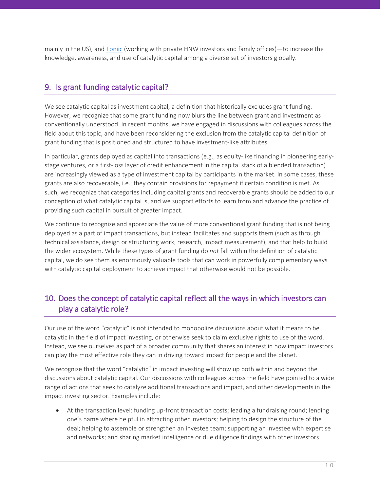mainly in the US), and [Toniic](https://toniic.com/) (working with private HNW investors and family offices)—to increase the knowledge, awareness, and use of catalytic capital among a diverse set of investors globally.

# 9. Is grant funding catalytic capital?

We see catalytic capital as investment capital, a definition that historically excludes grant funding. However, we recognize that some grant funding now blurs the line between grant and investment as conventionally understood. In recent months, we have engaged in discussions with colleagues across the field about this topic, and have been reconsidering the exclusion from the catalytic capital definition of grant funding that is positioned and structured to have investment-like attributes.

In particular, grants deployed as capital into transactions (e.g., as equity-like financing in pioneering earlystage ventures, or a first-loss layer of credit enhancement in the capital stack of a blended transaction) are increasingly viewed as a type of investment capital by participants in the market. In some cases, these grants are also recoverable, i.e., they contain provisions for repayment if certain condition is met. As such, we recognize that categories including capital grants and recoverable grants should be added to our conception of what catalytic capital is, and we support efforts to learn from and advance the practice of providing such capital in pursuit of greater impact.

We continue to recognize and appreciate the value of more conventional grant funding that is not being deployed as a part of impact transactions, but instead facilitates and supports them (such as through technical assistance, design or structuring work, research, impact measurement), and that help to build the wider ecosystem. While these types of grant funding do *not* fall within the definition of catalytic capital, we do see them as enormously valuable tools that can work in powerfully complementary ways with catalytic capital deployment to achieve impact that otherwise would not be possible.

# 10. Does the concept of catalytic capital reflect all the ways in which investors can play a catalytic role?

Our use of the word "catalytic" is not intended to monopolize discussions about what it means to be catalytic in the field of impact investing, or otherwise seek to claim exclusive rights to use of the word. Instead, we see ourselves as part of a broader community that shares an interest in how impact investors can play the most effective role they can in driving toward impact for people and the planet.

We recognize that the word "catalytic" in impact investing will show up both within and beyond the discussions about catalytic capital. Our discussions with colleagues across the field have pointed to a wide range of actions that seek to catalyze additional transactions and impact, and other developments in the impact investing sector. Examples include:

• At the transaction level: funding up-front transaction costs; leading a fundraising round; lending one's name where helpful in attracting other investors; helping to design the structure of the deal; helping to assemble or strengthen an investee team; supporting an investee with expertise and networks; and sharing market intelligence or due diligence findings with other investors